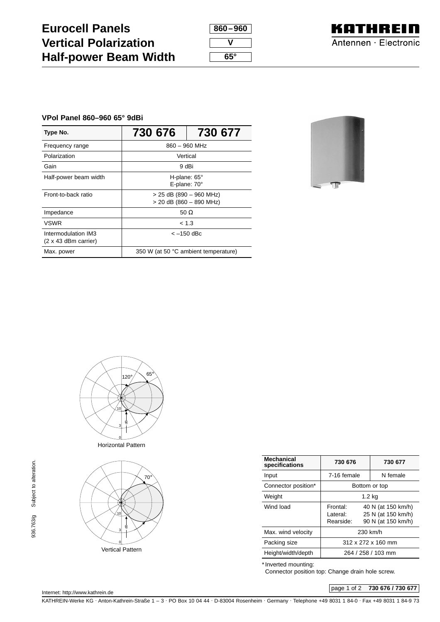## **Eurocell Panels Vertical Polarization Half-power Beam Width**

| 860–960 |  |
|---------|--|
|         |  |
| 65°     |  |



## **VPol Panel 860–960 65° 9dBi**

| Type No.                                           | 730 676                                                | 730 677 |
|----------------------------------------------------|--------------------------------------------------------|---------|
| Frequency range                                    | 860 - 960 MHz                                          |         |
| Polarization                                       | Vertical                                               |         |
| Gain                                               | 9 dBi                                                  |         |
| Half-power beam width                              | H-plane: $65^\circ$<br>E-plane: 70°                    |         |
| Front-to-back ratio                                | $>$ 25 dB (890 - 960 MHz)<br>$>$ 20 dB (860 - 890 MHz) |         |
| Impedance                                          | 50 $\Omega$                                            |         |
| <b>VSWR</b>                                        | < 1.3                                                  |         |
| Intermodulation IM3<br>$(2 \times 43$ dBm carrier) | $<-150$ dBc                                            |         |
| Max. power                                         | 350 W (at 50 °C ambient temperature)                   |         |





Horizontal Pattern



| <b>Mechanical</b><br>specifications | 730 676                        | 730 677            |  |
|-------------------------------------|--------------------------------|--------------------|--|
| Input                               | 7-16 female                    | N female           |  |
| Connector position*                 | Bottom or top                  |                    |  |
| Weight                              | 1.2 kg                         |                    |  |
| Wind load                           | Frontal:<br>40 N (at 150 km/h) |                    |  |
|                                     | I ateral:                      | 25 N (at 150 km/h) |  |
|                                     | Rearside:                      | 90 N (at 150 km/h) |  |
| Max. wind velocity                  | 230 km/h                       |                    |  |
| Packing size                        | $312 \times 272 \times 160$ mm |                    |  |
| Height/width/depth                  | 264 / 258 / 103 mm             |                    |  |
|                                     |                                |                    |  |

\* Inverted mounting:

Connector position top: Change drain hole screw.

page 1 of 2 **730 676 / 730 677**

KATHREIN-Werke KG · Anton-Kathrein-Straße 1 – 3 · PO Box 10 04 44 · D-83004 Rosenheim · Germany · Telephone +49 8031 1 84-0 · Fax +49 8031 1 84-9 73